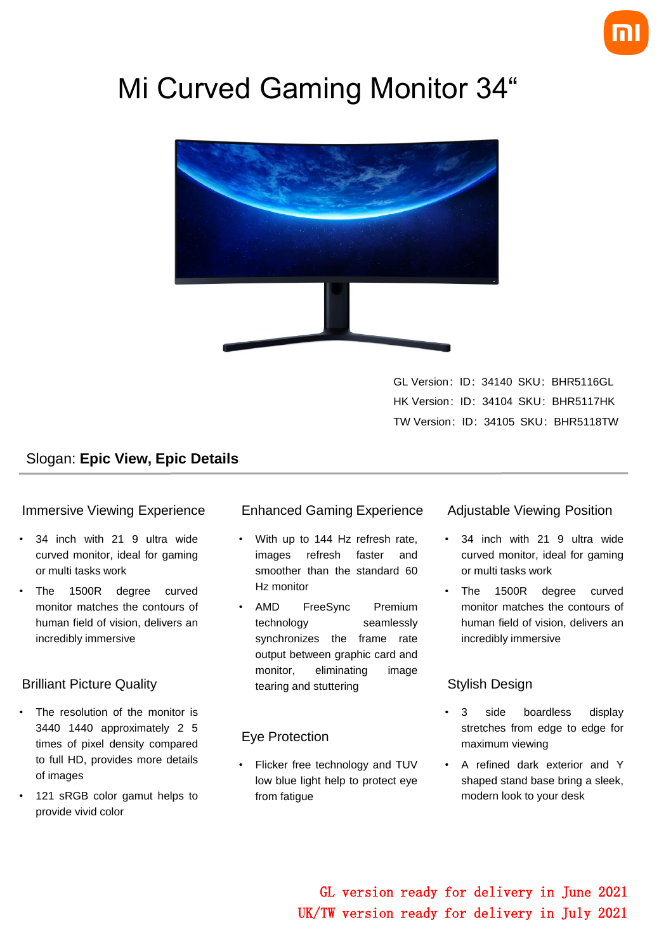

# Mi Curved Gaming Monitor 34"



GL Version: ID: 34140 SKU: BHR5116GL HK Version: ID: 34104 SKU: BHR5117HK TW Version: ID: 34105 SKU: BHR5118TW

### Slogan: **Epic View, Epic Details**

#### Immersive Viewing Experience

- 34 inch with 21 9 ultra wide curved monitor, ideal for gaming or multi tasks work
- The 1500R degree curved monitor matches the contours of human field of vision, delivers an incredibly immersive

#### Brilliant Picture Quality

- The resolution of the monitor is 3440 1440 approximately 2 5 times of pixel density compared to full HD, provides more details of images
- 121 sRGB color gamut helps to provide vivid color

#### Enhanced Gaming Experience

- With up to 144 Hz refresh rate, images refresh faster and smoother than the standard 60 Hz monitor
- AMD FreeSync Premium technology seamlessly synchronizes the frame rate output between graphic card and monitor, eliminating image tearing and stuttering

#### Eye Protection

Flicker free technology and TUV low blue light help to protect eye from fatigue

#### Adjustable Viewing Position

- 34 inch with 21 9 ultra wide curved monitor, ideal for gaming or multi tasks work
- The 1500R degree curved monitor matches the contours of human field of vision, delivers an incredibly immersive

#### Stylish Design

- 3 side boardless display stretches from edge to edge for maximum viewing
- A refined dark exterior and Y shaped stand base bring a sleek, modern look to your desk

GL version ready for delivery in June 2021 UK/TW version ready for delivery in July 2021